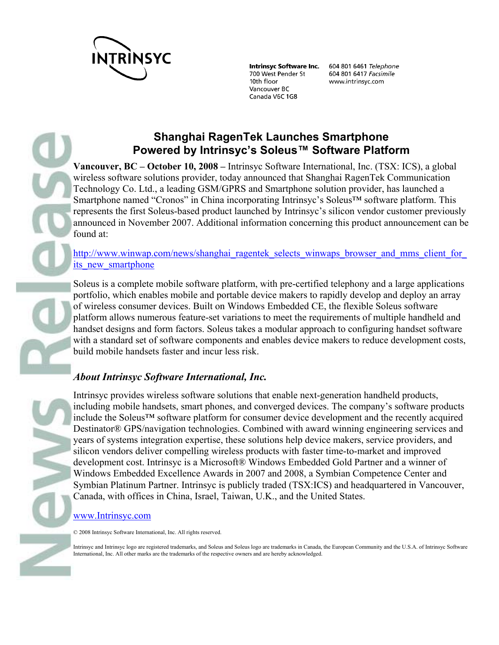

**Intrinsyc Software Inc.** 700 West Pender St 10th floor Vancouver BC Canada V6C 1G8

604 801 6461 Telephone 604 801 6417 Facsimile www.intrinsyc.com

# **Shanghai RagenTek Launches Smartphone Powered by Intrinsyc's Soleus™ Software Platform**

**Vancouver, BC – October 10, 2008 –** Intrinsyc Software International, Inc. (TSX: ICS), a global wireless software solutions provider, today announced that Shanghai RagenTek Communication Technology Co. Ltd., a leading GSM/GPRS and Smartphone solution provider, has launched a Smartphone named "Cronos" in China incorporating Intrinsyc's Soleus™ software platform. This represents the first Soleus-based product launched by Intrinsyc's silicon vendor customer previously announced in November 2007. Additional information concerning this product announcement can be found at:

http://www.winwap.com/news/shanghai\_ragentek\_selects\_winwaps\_browser\_and\_mms\_client\_for its new smartphone

Soleus is a complete mobile software platform, with pre-certified telephony and a large applications portfolio, which enables mobile and portable device makers to rapidly develop and deploy an array of wireless consumer devices. Built on Windows Embedded CE, the flexible Soleus software platform allows numerous feature-set variations to meet the requirements of multiple handheld and handset designs and form factors. Soleus takes a modular approach to configuring handset software with a standard set of software components and enables device makers to reduce development costs, build mobile handsets faster and incur less risk.

## *About Intrinsyc Software International, Inc.*

Intrinsyc provides wireless software solutions that enable next-generation handheld products, including mobile handsets, smart phones, and converged devices. The company's software products include the Soleus™ software platform for consumer device development and the recently acquired Destinator® GPS/navigation technologies. Combined with award winning engineering services and years of systems integration expertise, these solutions help device makers, service providers, and silicon vendors deliver compelling wireless products with faster time-to-market and improved development cost. Intrinsyc is a Microsoft® Windows Embedded Gold Partner and a winner of Windows Embedded Excellence Awards in 2007 and 2008, a Symbian Competence Center and Symbian Platinum Partner. Intrinsyc is publicly traded (TSX:ICS) and headquartered in Vancouver, Canada, with offices in China, Israel, Taiwan, U.K., and the United States.

### www.Intrinsyc.com

© 2008 Intrinsyc Software International, Inc. All rights reserved.

Intrinsyc and Intrinsyc logo are registered trademarks, and Soleus and Soleus logo are trademarks in Canada, the European Community and the U.S.A. of Intrinsyc Software International, Inc. All other marks are the trademarks of the respective owners and are hereby acknowledged.